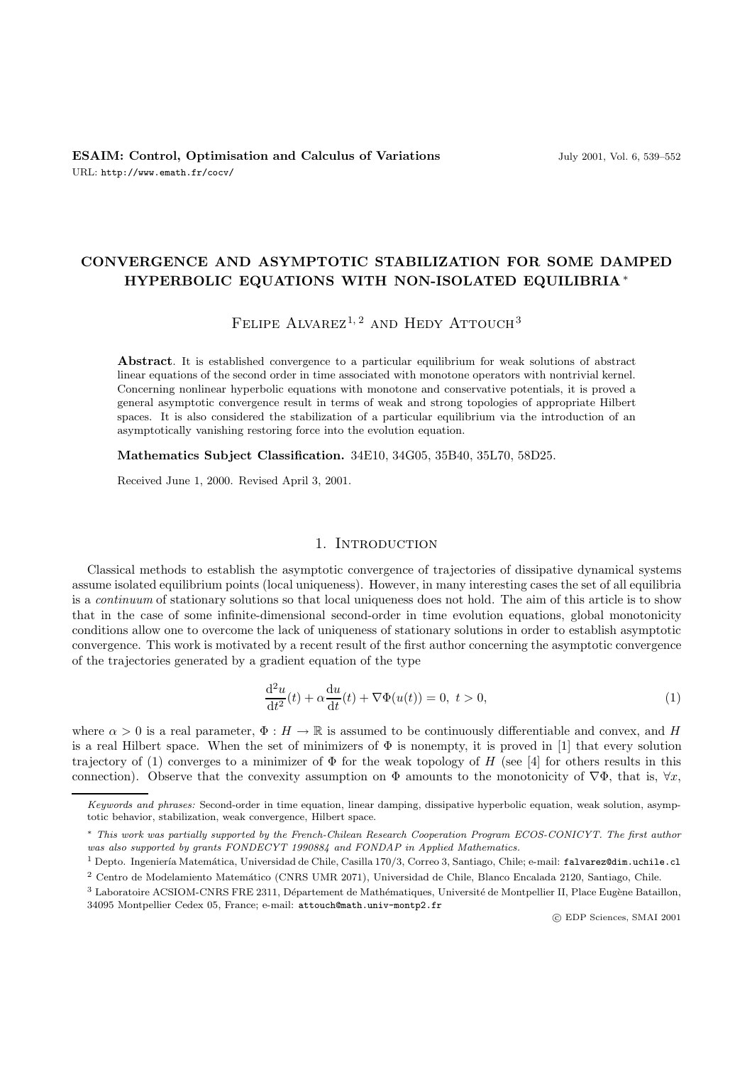# **CONVERGENCE AND ASYMPTOTIC STABILIZATION FOR SOME DAMPED HYPERBOLIC EQUATIONS WITH NON-ISOLATED EQUILIBRIA** ∗

# FELIPE ALVAREZ<sup>1, 2</sup> AND HEDY ATTOUCH<sup>3</sup>

**Abstract**. It is established convergence to a particular equilibrium for weak solutions of abstract linear equations of the second order in time associated with monotone operators with nontrivial kernel. Concerning nonlinear hyperbolic equations with monotone and conservative potentials, it is proved a general asymptotic convergence result in terms of weak and strong topologies of appropriate Hilbert spaces. It is also considered the stabilization of a particular equilibrium via the introduction of an asymptotically vanishing restoring force into the evolution equation.

**Mathematics Subject Classification.** 34E10, 34G05, 35B40, 35L70, 58D25.

Received June 1, 2000. Revised April 3, 2001.

#### 1. INTRODUCTION

Classical methods to establish the asymptotic convergence of trajectories of dissipative dynamical systems assume isolated equilibrium points (local uniqueness). However, in many interesting cases the set of all equilibria is a *continuum* of stationary solutions so that local uniqueness does not hold. The aim of this article is to show that in the case of some infinite-dimensional second-order in time evolution equations, global monotonicity conditions allow one to overcome the lack of uniqueness of stationary solutions in order to establish asymptotic convergence. This work is motivated by a recent result of the first author concerning the asymptotic convergence of the trajectories generated by a gradient equation of the type

$$
\frac{\mathrm{d}^2 u}{\mathrm{d}t^2}(t) + \alpha \frac{\mathrm{d}u}{\mathrm{d}t}(t) + \nabla \Phi(u(t)) = 0, \ t > 0,
$$
\n<sup>(1)</sup>

where  $\alpha > 0$  is a real parameter,  $\Phi : H \to \mathbb{R}$  is assumed to be continuously differentiable and convex, and H is a real Hilbert space. When the set of minimizers of  $\Phi$  is nonempty, it is proved in [1] that every solution trajectory of (1) converges to a minimizer of  $\Phi$  for the weak topology of H (see [4] for others results in this connection). Observe that the convexity assumption on  $\Phi$  amounts to the monotonicity of  $\nabla\Phi$ , that is,  $\forall x$ ,

Keywords and phrases: Second-order in time equation, linear damping, dissipative hyperbolic equation, weak solution, asymptotic behavior, stabilization, weak convergence, Hilbert space.

<sup>∗</sup> This work was partially supported by the French-Chilean Research Cooperation Program ECOS-CONICYT. The first author was also supported by grants FONDECYT 1990884 and FONDAP in Applied Mathematics.

<sup>&</sup>lt;sup>1</sup> Depto. Ingeniería Matemática, Universidad de Chile, Casilla 170/3, Correo 3, Santiago, Chile; e-mail: falvarez@dim.uchile.cl <sup>2</sup> Centro de Modelamiento Matemático (CNRS UMR 2071), Universidad de Chile, Blanco Encalada 2120, Santiago, Chile.

<sup>&</sup>lt;sup>3</sup> Laboratoire ACSIOM-CNRS FRE 2311, Département de Mathématiques, Université de Montpellier II, Place Eugène Bataillon, 34095 Montpellier Cedex 05, France; e-mail: attouch@math.univ-montp2.fr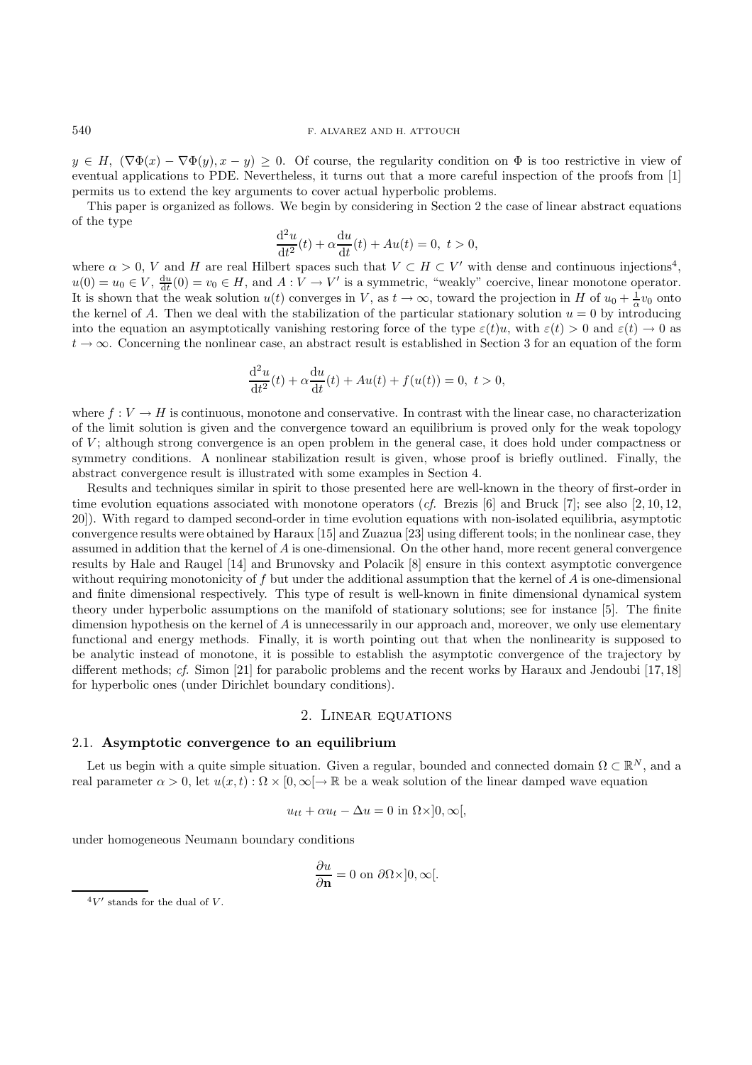### 540 F. ALVAREZ AND H. ATTOUCH

 $y \in H$ ,  $(\nabla \Phi(x) - \nabla \Phi(y), x - y) \geq 0$ . Of course, the regularity condition on  $\Phi$  is too restrictive in view of eventual applications to PDE. Nevertheless, it turns out that a more careful inspection of the proofs from [1] permits us to extend the key arguments to cover actual hyperbolic problems.

This paper is organized as follows. We begin by considering in Section 2 the case of linear abstract equations of the type

$$
\frac{d^2u}{dt^2}(t) + \alpha \frac{du}{dt}(t) + Au(t) = 0, \ t > 0,
$$
  
ert spaces such that  $V \subset H \subset V'$  wi

where  $\alpha > 0$ , V and H are real Hilbert spaces such that  $V \subset H \subset V'$  with dense and continuous injections<sup>4</sup>,  $u(0) = u_0 \in V$  due to  $u(0) = u_0 \in V$  due to  $H$  and  $A \cdot V \to V'$  is a symmetric "weakly" coercive linear monotone op  $u(0) = u_0 \in V$ ,  $\frac{du}{dt}(0) = v_0 \in H$ , and  $A: V \to V'$  is a symmetric, "weakly" coercive, linear monotone operator. It is shown that the weak solution  $u(t)$  converges in V, as  $t \to \infty$ , toward the projection in H of  $u_0 + \frac{1}{\alpha}v_0$  onto<br>the kernal of A. Then we deal with the stabilization of the particular stationary solution  $u = 0$  the kernel of A. Then we deal with the stabilization of the particular stationary solution  $u = 0$  by introducing into the equation an asymptotically vanishing restoring force of the type  $\varepsilon(t)u$ , with  $\varepsilon(t) > 0$  and  $\varepsilon(t) \to 0$  as  $t \to \infty$ . Concerning the nonlinear case, an abstract result is established in Section 3 for an equation of the form

$$
\frac{d^2u}{dt^2}(t) + \alpha \frac{du}{dt}(t) + Au(t) + f(u(t)) = 0, \ t > 0,
$$

where  $f: V \to H$  is continuous, monotone and conservative. In contrast with the linear case, no characterization of the limit solution is given and the convergence toward an equilibrium is proved only for the weak topology of  $V$ ; although strong convergence is an open problem in the general case, it does hold under compactness or symmetry conditions. A nonlinear stabilization result is given, whose proof is briefly outlined. Finally, the abstract convergence result is illustrated with some examples in Section 4.

Results and techniques similar in spirit to those presented here are well-known in the theory of first-order in time evolution equations associated with monotone operators (*cf.* Brezis [6] and Bruck [7]; see also [2, 10, 12, 20]). With regard to damped second-order in time evolution equations with non-isolated equilibria, asymptotic convergence results were obtained by Haraux [15] and Zuazua [23] using different tools; in the nonlinear case, they assumed in addition that the kernel of A is one-dimensional. On the other hand, more recent general convergence results by Hale and Raugel [14] and Brunovsky and Polacik [8] ensure in this context asymptotic convergence without requiring monotonicity of  $f$  but under the additional assumption that the kernel of  $A$  is one-dimensional and finite dimensional respectively. This type of result is well-known in finite dimensional dynamical system theory under hyperbolic assumptions on the manifold of stationary solutions; see for instance [5]. The finite dimension hypothesis on the kernel of A is unnecessarily in our approach and, moreover, we only use elementary functional and energy methods. Finally, it is worth pointing out that when the nonlinearity is supposed to be analytic instead of monotone, it is possible to establish the asymptotic convergence of the trajectory by different methods; *cf.* Simon [21] for parabolic problems and the recent works by Haraux and Jendoubi [17,18] for hyperbolic ones (under Dirichlet boundary conditions).

#### 2. Linear equations

#### 2.1. **Asymptotic convergence to an equilibrium**

Let us begin with a quite simple situation. Given a regular, bounded and connected domain  $\Omega \subset \mathbb{R}^N$ , and a real parameter  $\alpha > 0$ , let  $u(x, t): \Omega \times [0, \infty) \to \mathbb{R}$  be a weak solution of the linear damped wave equation

$$
u_{tt} + \alpha u_t - \Delta u = 0 \text{ in } \Omega \times ]0, \infty[,
$$

under homogeneous Neumann boundary conditions

$$
\frac{\partial u}{\partial \mathbf{n}} = 0 \text{ on } \partial \Omega \times ]0, \infty[.
$$

 $4V'$  stands for the dual of V.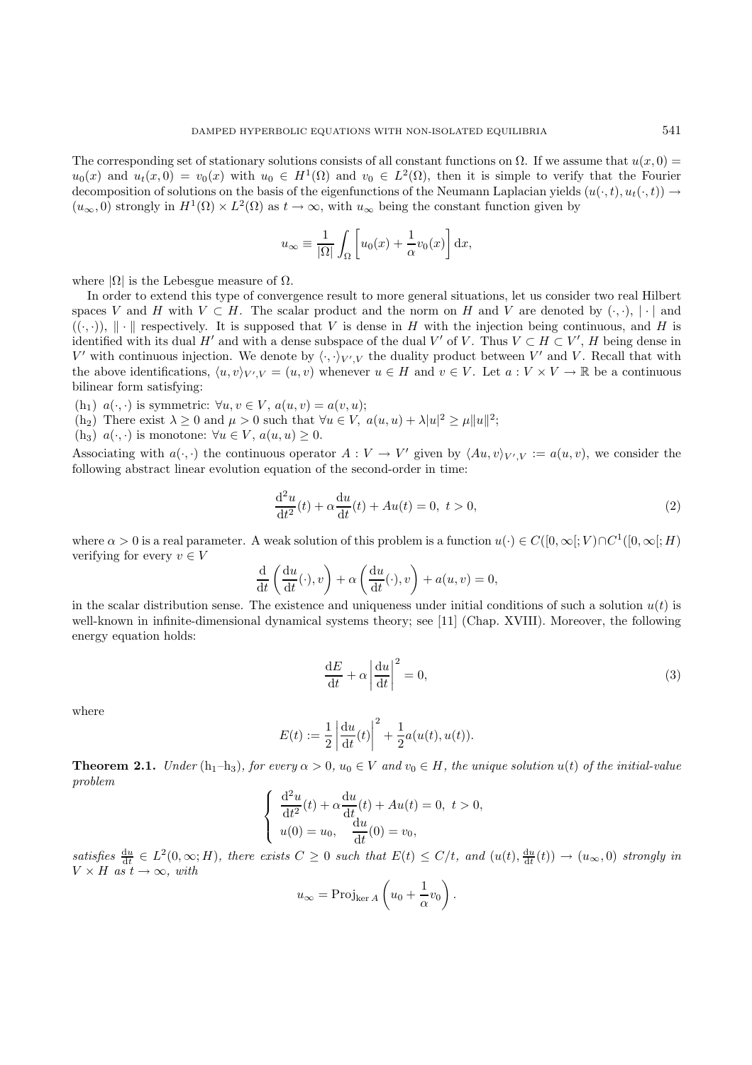The corresponding set of stationary solutions consists of all constant functions on  $\Omega$ . If we assume that  $u(x, 0) =$  $u_0(x)$  and  $u_t(x, 0) = v_0(x)$  with  $u_0 \in H^1(\Omega)$  and  $v_0 \in L^2(\Omega)$ , then it is simple to verify that the Fourier decomposition of solutions on the basis of the eigenfunctions of the Neumann Laplacian yields  $(u(\cdot, t), u_t(\cdot, t)) \rightarrow$  $(u_{\infty}, 0)$  strongly in  $H^1(\Omega) \times L^2(\Omega)$  as  $t \to \infty$ , with  $u_{\infty}$  being the constant function given by

$$
u_{\infty} \equiv \frac{1}{|\Omega|} \int_{\Omega} \left[ u_0(x) + \frac{1}{\alpha} v_0(x) \right] dx,
$$

where  $|\Omega|$  is the Lebesgue measure of  $\Omega$ .

In order to extend this type of convergence result to more general situations, let us consider two real Hilbert spaces V and H with  $V \subset H$ . The scalar product and the norm on H and V are denoted by  $(\cdot, \cdot), |\cdot|$  and  $((\cdot,\cdot))$ ,  $\|\cdot\|$  respectively. It is supposed that V is dense in H with the injection being continuous, and H is identified with its dual H' and with a dense subspace of the dual V' of V. Thus  $V \subset H \subset V'$ , H being dense in  $V'$  with continuous injection. We denote by  $\langle \cdot, \cdot \rangle_{V \cap V}$  the duality product between  $V'$  and V. Becall th V' with continuous injection. We denote by  $\langle \cdot, \cdot \rangle_{V'V}$  the duality product between V' and V. Recall that with the above identifications,  $\langle u, v \rangle_{V', V} = (u, v)$  whenever  $u \in H$  and  $v \in V$ . Let  $a : V \times V \to \mathbb{R}$  be a continuous bilinear form satisfying:

(h<sub>1</sub>)  $a(\cdot, \cdot)$  is symmetric:  $\forall u, v \in V$ ,  $a(u, v) = a(v, u)$ ;

(h<sub>2</sub>) There exist  $\lambda \ge 0$  and  $\mu > 0$  such that  $\forall u \in V$ ,  $a(u, u) + \lambda |u|^2 \ge \mu ||u||^2$ ;<br>(h<sub>2</sub>)  $a(u, v)$  is monotone;  $\forall u \in V$ ,  $a(u, u) > 0$ 

(h<sub>3</sub>)  $a(\cdot, \cdot)$  is monotone:  $\forall u \in V, a(u, u) \geq 0$ .

Associating with  $a(\cdot, \cdot)$  the continuous operator  $A: V \to V'$  given by  $\langle Au, v \rangle_{V', V} := a(u, v)$ , we consider the following abstract linear evolution equation of the second-order in time:

$$
\frac{d^2u}{dt^2}(t) + \alpha \frac{du}{dt}(t) + Au(t) = 0, \ t > 0,
$$
\t(2)

where  $\alpha > 0$  is a real parameter. A weak solution of this problem is a function  $u(\cdot) \in C([0,\infty[;V) \cap C^1([0,\infty[;H])$ verifying for every  $v \in V$ 

$$
\frac{\mathrm{d}}{\mathrm{d}t} \left( \frac{\mathrm{d}u}{\mathrm{d}t}(\cdot), v \right) + \alpha \left( \frac{\mathrm{d}u}{\mathrm{d}t}(\cdot), v \right) + a(u, v) = 0,
$$

in the scalar distribution sense. The existence and uniqueness under initial conditions of such a solution  $u(t)$  is<br>well-known in infinite-dimensional dynamical systems theory: see [11] (Chan XVIII) Moreover, the followin well-known in infinite-dimensional dynamical systems theory; see [11] (Chap. XVIII). Moreover, the following energy equation holds:

$$
\frac{\mathrm{d}E}{\mathrm{d}t} + \alpha \left| \frac{\mathrm{d}u}{\mathrm{d}t} \right|^2 = 0,\tag{3}
$$

where

$$
E(t) := \frac{1}{2} \left| \frac{du}{dt}(t) \right|^2 + \frac{1}{2} a(u(t), u(t)).
$$

**Theorem 2.1.** *Under* (h<sub>1</sub>–h<sub>3</sub>)*, for every*  $\alpha > 0$ *,*  $u_0 \in V$  *and*  $v_0 \in H$ *, the unique solution*  $u(t)$  *of the initial-value problem*

$$
\begin{cases} \frac{d^2u}{dt^2}(t) + \alpha \frac{du}{dt}(t) + Au(t) = 0, \ t > 0, \\ u(0) = u_0, \quad \frac{du}{dt}(0) = v_0, \end{cases}
$$

satisfies  $\frac{du}{dt} \in L^2(0,\infty;H)$ , there exists  $C \geq 0$  such that  $E(t) \leq C/t$ , and  $(u(t), \frac{du}{dt}(t)) \to (u_\infty, 0)$  strongly in  $V \times H$  *as*  $t \to \infty$ *, with* 

$$
u_{\infty} = \text{Proj}_{\ker A} \left( u_0 + \frac{1}{\alpha} v_0 \right)
$$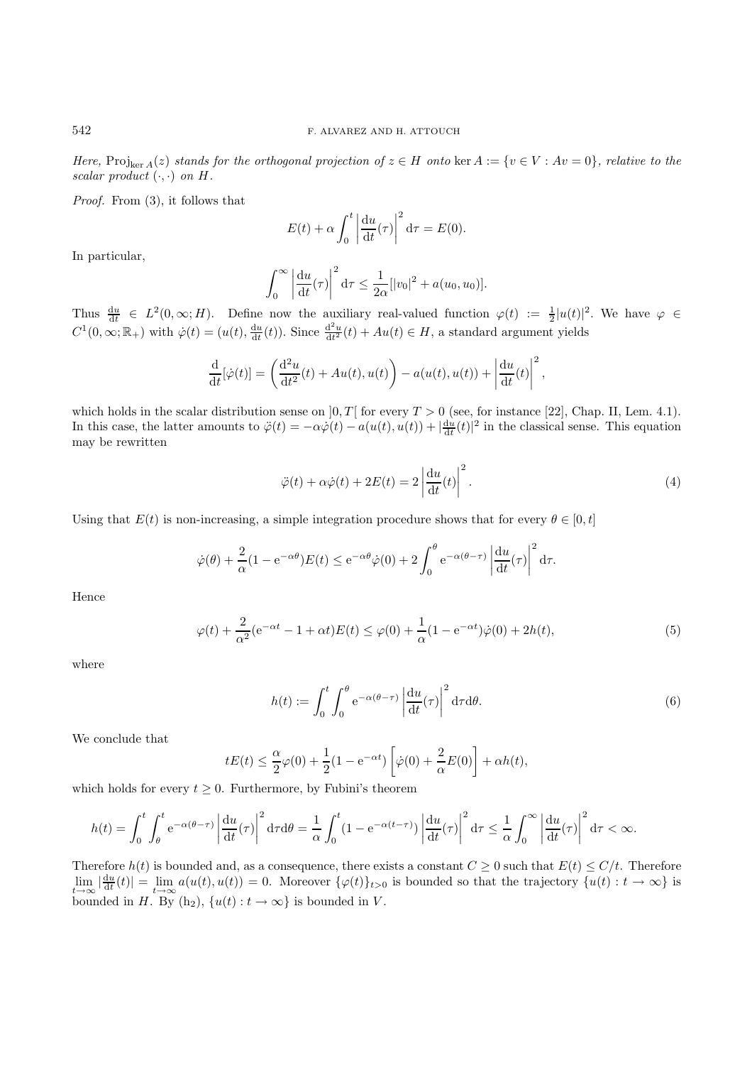*Here,* Proj<sub>ker A</sub>(z) *stands for the orthogonal projection of*  $z \in H$  *onto* ker  $A := \{v \in V : Av = 0\}$ *, relative to the scalar product*  $(\cdot, \cdot)$  *on*  $H$ *.* 

*Proof.* From (3), it follows that

$$
E(t) + \alpha \int_0^t \left| \frac{\mathrm{d}u}{\mathrm{d}t}(\tau) \right|^2 \mathrm{d}\tau = E(0).
$$

In particular,

$$
\int_0^\infty \left| \frac{\mathrm{d}u}{\mathrm{d}t}(\tau) \right|^2 \mathrm{d}\tau \le \frac{1}{2\alpha} [|v_0|^2 + a(u_0, u_0)].
$$

Thus  $\frac{du}{dt} \in L^2(0, \infty; H)$ . Define now the auxiliary real-valued function  $\varphi(t) := \frac{1}{2} |u(t)|^2$ . We have  $\varphi \in \Omega$  $C^1(0,\infty;\mathbb{R}_+)$  with  $\dot{\varphi}(t)=(u(t),\frac{du}{dt}(t))$ . Since  $\frac{d^2u}{dt^2}(t)+Au(t)\in H$ , a standard argument yields

$$
\frac{\mathrm{d}}{\mathrm{d}t}[\dot{\varphi}(t)] = \left(\frac{\mathrm{d}^2u}{\mathrm{d}t^2}(t) + Au(t), u(t)\right) - a(u(t), u(t)) + \left|\frac{\mathrm{d}u}{\mathrm{d}t}(t)\right|^2,
$$

which holds in the scalar distribution sense on  $[0, T]$  for every  $T > 0$  (see, for instance [22], Chap. II, Lem. 4.1). In this case, the latter amounts to  $\ddot{\varphi}(t) = -\alpha \dot{\varphi}(t) - a(u(t), u(t)) + |\frac{d\dot{u}}{dt}(t)|^2$  in the classical sense. This equation may be rewritten

$$
\ddot{\varphi}(t) + \alpha \dot{\varphi}(t) + 2E(t) = 2 \left| \frac{\mathrm{d}u}{\mathrm{d}t}(t) \right|^2.
$$
\n(4)

Using that  $E(t)$  is non-increasing, a simple integration procedure shows that for every  $\theta \in [0, t]$ 

$$
\dot{\varphi}(\theta) + \frac{2}{\alpha} (1 - e^{-\alpha \theta}) E(t) \le e^{-\alpha \theta} \dot{\varphi}(0) + 2 \int_0^{\theta} e^{-\alpha(\theta - \tau)} \left| \frac{du}{dt}(\tau) \right|^2 d\tau.
$$

Hence

$$
\varphi(t) + \frac{2}{\alpha^2} (e^{-\alpha t} - 1 + \alpha t) E(t) \le \varphi(0) + \frac{1}{\alpha} (1 - e^{-\alpha t}) \dot{\varphi}(0) + 2h(t),
$$
\n(5)

where

$$
h(t) := \int_0^t \int_0^\theta e^{-\alpha(\theta - \tau)} \left| \frac{du}{dt}(\tau) \right|^2 d\tau d\theta.
$$
 (6)

We conclude that

$$
tE(t) \leq \frac{\alpha}{2}\varphi(0) + \frac{1}{2}(1 - e^{-\alpha t})\left[\dot{\varphi}(0) + \frac{2}{\alpha}E(0)\right] + \alpha h(t),
$$

which holds for every  $t \geq 0$ . Furthermore, by Fubini's theorem

$$
h(t) = \int_0^t \int_\theta^t e^{-\alpha(\theta - \tau)} \left| \frac{du}{dt}(\tau) \right|^2 d\tau d\theta = \frac{1}{\alpha} \int_0^t (1 - e^{-\alpha(t - \tau)}) \left| \frac{du}{dt}(\tau) \right|^2 d\tau \leq \frac{1}{\alpha} \int_0^\infty \left| \frac{du}{dt}(\tau) \right|^2 d\tau < \infty.
$$

Therefore  $h(t)$  is bounded and, as a consequence, there exists a constant  $C \geq 0$  such that  $E(t) \leq C/t$ . Therefore  $\lim_{t\to\infty} |\frac{du}{dt}(t)| = \lim_{t\to\infty} a(u(t), u(t)) = 0.$  Moreover  $\{\varphi(t)\}_{t>0}$  is bounded so that the trajectory  $\{u(t): t\to\infty\}$  is bounded in H. By (h<sub>2</sub>),  $\{u(t): t \to \infty\}$  is bounded in V.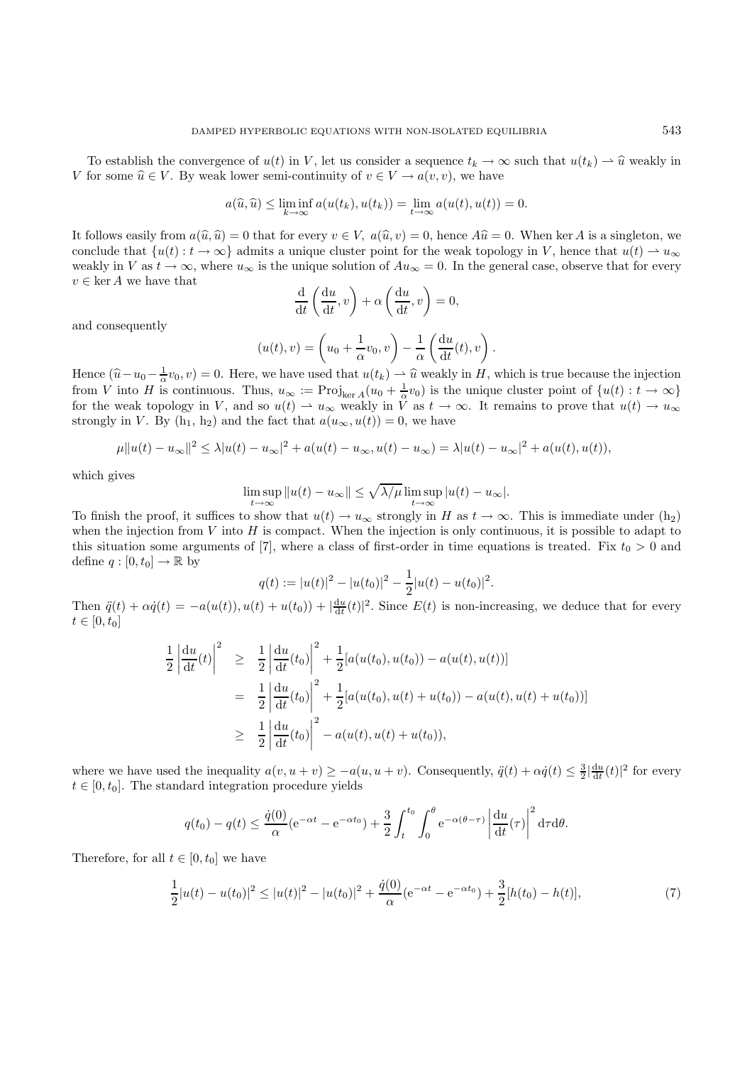To establish the convergence of  $u(t)$  in V, let us consider a sequence  $t_k \to \infty$  such that  $u(t_k) \to \hat{u}$  weakly in V for some  $\hat{u} \in V$ . By weak lower semi-continuity of  $v \in V \to a(v, v)$ , we have

$$
a(\widehat{u}, \widehat{u}) \le \liminf_{k \to \infty} a(u(t_k), u(t_k)) = \lim_{t \to \infty} a(u(t), u(t)) = 0.
$$

It follows easily from  $a(\hat{u}, \hat{u}) = 0$  that for every  $v \in V$ ,  $a(\hat{u}, v) = 0$ , hence  $A\hat{u} = 0$ . When ker A is a singleton, we conclude that  $\{u(t): t \to \infty\}$  admits a unique cluster point for the weak topology in V, hence that  $u(t) \to u_{\infty}$ weakly in V as  $t \to \infty$ , where  $u_{\infty}$  is the unique solution of  $Au_{\infty} = 0$ . In the general case, observe that for every  $v \in \ker A$  we have that

$$
\frac{\mathrm{d}}{\mathrm{d}t}\left(\frac{\mathrm{d}u}{\mathrm{d}t},v\right) + \alpha\left(\frac{\mathrm{d}u}{\mathrm{d}t},v\right) = 0,
$$

and consequently

$$
(u(t), v) = \left(u_0 + \frac{1}{\alpha}v_0, v\right) - \frac{1}{\alpha}\left(\frac{\mathrm{d}u}{\mathrm{d}t}(t), v\right).
$$

Hence  $(\hat{u} - u_0 - \frac{1}{\alpha}v_0, v) = 0$ . Here, we have used that  $u(t_k) \to \hat{u}$  weakly in H, which is true because the injection from V into H is continuous. Thus,  $u_{\alpha} := \text{Proj} \left( (u_{\alpha} + \frac{1}{\alpha}u_0) \right)$  is the unique cluster p from V into H is continuous. Thus,  $u_{\infty} := \text{Proj}_{\text{ker }A}(u_0 + \frac{1}{\alpha}v_0)$  is the unique cluster point of  $\{u(t) : t \to \infty\}$  for the weak topology in V and so  $u(t) \to u$ , weakly in V as  $t \to \infty$ . It remains to prove that  $u(t) \to$ for the weak topology in V, and so  $u(t) \to u_{\infty}$  weakly in V as  $t \to \infty$ . It remains to prove that  $u(t) \to u_{\infty}$ <br>strongly in V. By (h, h) and the fact that  $g(u - u(t)) = 0$  we have strongly in V. By  $(h_1, h_2)$  and the fact that  $a(u_{\infty}, u(t)) = 0$ , we have

$$
\mu \|u(t) - u_{\infty}\|^2 \le \lambda |u(t) - u_{\infty}|^2 + a(u(t) - u_{\infty}, u(t) - u_{\infty}) = \lambda |u(t) - u_{\infty}|^2 + a(u(t), u(t)),
$$

which gives

$$
\limsup_{t \to \infty} ||u(t) - u_{\infty}|| \le \sqrt{\lambda/\mu} \limsup_{t \to \infty} |u(t) - u_{\infty}|.
$$

To finish the proof, it suffices to show that  $u(t) \to u_{\infty}$  strongly in H as  $t \to \infty$ . This is immediate under  $(h_2)$ when the injection from  $V$  into  $H$  is compact. When the injection is only continuous, it is possible to adapt to this situation some arguments of [7], where a class of first-order in time equations is treated. Fix  $t_0 > 0$  and define  $q:[0,t_0]\to\mathbb{R}$  by

$$
q(t) := |u(t)|^2 - |u(t_0)|^2 - \frac{1}{2}|u(t) - u(t_0)|^2.
$$

Then  $\ddot{q}(t) + \alpha \dot{q}(t) = -a(u(t)), u(t) + u(t_0)) + |\frac{du}{dt}(t)|^2$ . Since  $E(t)$  is non-increasing, we deduce that for every  $t \in [0, t_0]$ 

$$
\frac{1}{2} \left| \frac{du}{dt}(t) \right|^2 \geq \frac{1}{2} \left| \frac{du}{dt}(t_0) \right|^2 + \frac{1}{2} [a(u(t_0), u(t_0)) - a(u(t), u(t))]
$$
\n
$$
= \frac{1}{2} \left| \frac{du}{dt}(t_0) \right|^2 + \frac{1}{2} [a(u(t_0), u(t) + u(t_0)) - a(u(t), u(t) + u(t_0))]
$$
\n
$$
\geq \frac{1}{2} \left| \frac{du}{dt}(t_0) \right|^2 - a(u(t), u(t) + u(t_0)),
$$

where we have used the inequality  $a(v, u + v) \ge -a(u, u + v)$ . Consequently,  $\ddot{q}(t) + \alpha \dot{q}(t) \le \frac{3}{2} |\frac{du}{dt}(t)|^2$  for every  $t \in [0, t_0]$ . The standard integration procedure viable  $t \in [0, t_0]$ . The standard integration procedure yields

$$
q(t_0) - q(t) \le \frac{\dot{q}(0)}{\alpha} (e^{-\alpha t} - e^{-\alpha t_0}) + \frac{3}{2} \int_t^{t_0} \int_0^{\theta} e^{-\alpha(\theta - \tau)} \left| \frac{du}{dt}(\tau) \right|^2 d\tau d\theta.
$$

Therefore, for all  $t \in [0, t_0]$  we have

$$
\frac{1}{2}|u(t) - u(t_0)|^2 \le |u(t)|^2 - |u(t_0)|^2 + \frac{\dot{q}(0)}{\alpha}(e^{-\alpha t} - e^{-\alpha t_0}) + \frac{3}{2}[h(t_0) - h(t)],\tag{7}
$$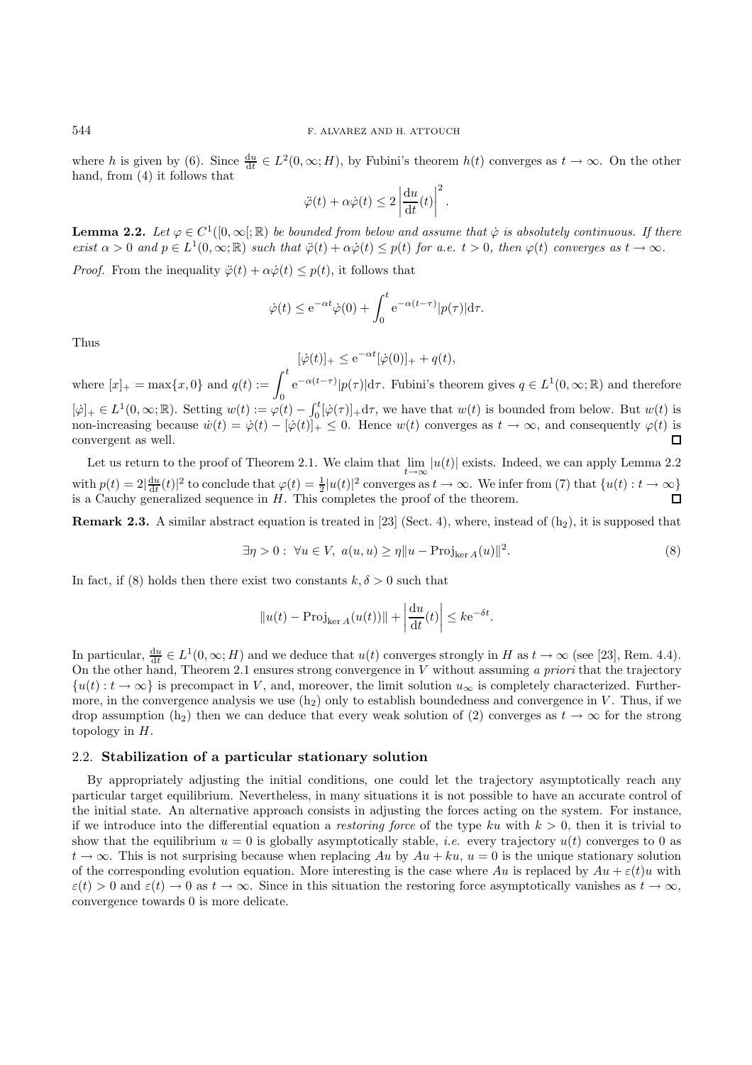where h is given by (6). Since  $\frac{du}{dt} \in L^2(0, \infty; H)$ , by Fubini's theorem  $h(t)$  converges as  $t \to \infty$ . On the other hand, from (4) it follows that

$$
\ddot{\varphi}(t) + \alpha \dot{\varphi}(t) \leq 2 \left| \frac{\mathrm{d}u}{\mathrm{d}t}(t) \right|^2.
$$

**Lemma 2.2.** *Let*  $\varphi \in C^1([0,\infty];\mathbb{R})$  *be bounded from below and assume that*  $\dot{\varphi}$  *is absolutely continuous. If there*<br>exist  $\alpha > 0$  and  $n \in L^1(0,\infty;\mathbb{R})$  such that  $\ddot{\varphi}(t) + \alpha \dot{\varphi}(t) \leq n(t)$  for a  $e, t > 0$  t  $\psi$  *exist*  $\alpha > 0$  *and*  $p \in L^1(0, \infty; \mathbb{R})$  *such that*  $\ddot{\varphi}(t) + \alpha \dot{\varphi}(t) \leq p(t)$  *for a.e.*  $t > 0$ *, then*  $\varphi(t)$  *converges as*  $t \to \infty$ *.* 

*Proof.* From the inequality  $\ddot{\varphi}(t) + \alpha \dot{\varphi}(t) \leq p(t)$ , it follows that

$$
\dot{\varphi}(t) \le e^{-\alpha t} \dot{\varphi}(0) + \int_0^t e^{-\alpha(t-\tau)} |p(\tau)| d\tau.
$$

Thus

$$
[\dot{\varphi}(t)]_+ \leq e^{-\alpha t}[\dot{\varphi}(0)]_+ + q(t),
$$

where  $[x]_+ = \max\{x, 0\}$  and  $q(t) := \int_0^t e^{-\alpha(t-\tau)} |p(\tau)| d\tau$ . Fubini's theorem gives  $q \in L^1(0, \infty; \mathbb{R})$  and therefore  $[\dot{\varphi}]_+ \in L^1(0,\infty;\mathbb{R})$ . Setting  $w(t) := \varphi(t) - \int_0^t [\dot{\varphi}(\tau)]_+ d\tau$ , we have that  $w(t)$  is bounded from below. But  $w(t)$  is pop-increasing because  $\dot{w}(t) = \dot{\varphi}(t) - [\dot{\varphi}(t)]_+ \leq 0$ . Hence  $w(t)$  converges as  $t \to \infty$  and non-increasing because  $\dot{w}(t) = \dot{\varphi}(t) - [\dot{\varphi}(t)]_+ \leq 0$ . Hence  $w(t)$  converges as  $t \to \infty$ , and consequently  $\varphi(t)$  is convergent as well convergent as well.

Let us return to the proof of Theorem 2.1. We claim that  $\lim_{t\to\infty} |u(t)|$  exists. Indeed, we can apply Lemma 2.2 with  $p(t) = 2|\frac{du}{dt}(t)|^2$  to conclude that  $\varphi(t) = \frac{1}{2}|u(t)|^2$  converges as  $t \to \infty$ . We infer from (7) that  $\{u(t): t \to \infty\}$ is a Cauchy generalized sequence in  $H$ . This completes the proof of the theorem.

**Remark 2.3.** A similar abstract equation is treated in [23] (Sect. 4), where, instead of  $(h_2)$ , it is supposed that

 $\exists \eta > 0 : \forall u \in V, a(u, u) \geq \eta \| u - \text{Proj}_{\text{ker } A}(u) \|^2.$  (8)

In fact, if (8) holds then there exist two constants  $k, \delta > 0$  such that

$$
||u(t) - \text{Proj}_{\ker A}(u(t))|| + \left| \frac{\mathrm{d}u}{\mathrm{d}t}(t) \right| \leq k e^{-\delta t}.
$$

In particular,  $\frac{du}{dt} \in L^1(0,\infty;H)$  and we deduce that  $u(t)$  converges strongly in H as  $t \to \infty$  (see [23], Rem. 4.4).<br>On the other hand. Theorem 2.1 ensures strong convergence in V without assuming a priori that the tr On the other hand, Theorem 2.1 ensures strong convergence in V without assuming *a priori* that the trajectory  $\{u(t): t \to \infty\}$  is precompact in V, and, moreover, the limit solution  $u_{\infty}$  is completely characterized. Furthermore, in the convergence analysis we use  $(h_2)$  only to establish boundedness and convergence in V. Thus, if we drop assumption (h<sub>2</sub>) then we can deduce that every weak solution of (2) converges as  $t \to \infty$  for the strong topology in  $H$ .

### 2.2. **Stabilization of a particular stationary solution**

By appropriately adjusting the initial conditions, one could let the trajectory asymptotically reach any particular target equilibrium. Nevertheless, in many situations it is not possible to have an accurate control of the initial state. An alternative approach consists in adjusting the forces acting on the system. For instance, if we introduce into the differential equation a *restoring force* of the type ku with  $k > 0$ , then it is trivial to show that the equilibrium  $u = 0$  is globally asymptotically stable, *i.e.* every trajectory  $u(t)$  converges to 0 as  $t \to \infty$ . This is not surprising because when replacing Au by  $Au + ku$ ,  $u = 0$  is the unique stationary solution of the corresponding evolution equation. More interesting is the case where Au is replaced by  $Au + \varepsilon(t)u$  with  $\varepsilon(t) > 0$  and  $\varepsilon(t) \to 0$  as  $t \to \infty$ . Since in this situation the restoring force asymptotically vanishes as  $t \to \infty$ , convergence towards 0 is more delicate.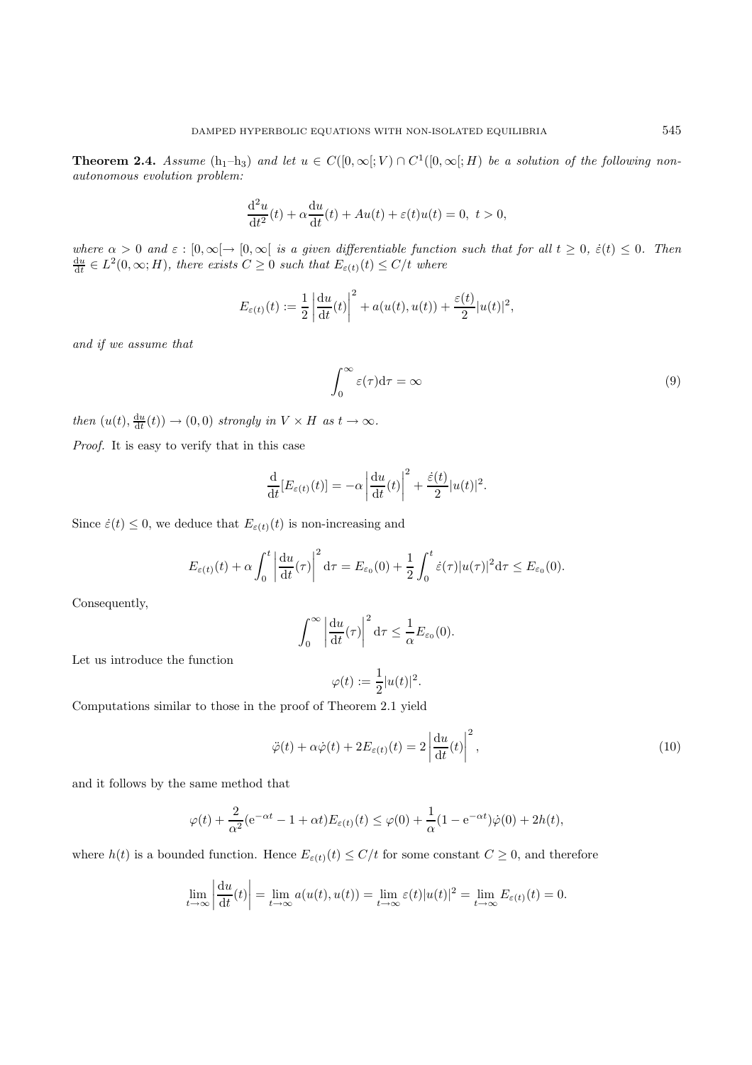**Theorem 2.4.** *Assume*  $(h_1-h_3)$  *and let*  $u \in C([0,\infty[;V] \cap C^1([0,\infty[;H])$  *be a solution of the following nonautonomous evolution problem:*

$$
\frac{\mathrm{d}^2 u}{\mathrm{d}t^2}(t) + \alpha \frac{\mathrm{d}u}{\mathrm{d}t}(t) + Au(t) + \varepsilon(t)u(t) = 0, \ t > 0,
$$

*where*  $\alpha > 0$  *and*  $\varepsilon : [0, \infty) \to [0, \infty)$  *is a given differentiable function such that for all*  $t \geq 0$ ,  $\varepsilon(t) \leq 0$ . Then  $\frac{du}{dt} \in L^2(0, \infty; H)$ , there exists  $C \geq 0$  such that  $E_{\varepsilon(t)}(t) \leq C/t$  where

$$
E_{\varepsilon(t)}(t) := \frac{1}{2} \left| \frac{\mathrm{d}u}{\mathrm{d}t}(t) \right|^2 + a(u(t), u(t)) + \frac{\varepsilon(t)}{2} |u(t)|^2,
$$

*and if we assume that*

$$
\int_0^\infty \varepsilon(\tau) d\tau = \infty \tag{9}
$$

*then*  $(u(t), \frac{du}{dt}(t)) \to (0, 0)$  *strongly in*  $V \times H$  *as*  $t \to \infty$ *.* 

*Proof.* It is easy to verify that in this case

$$
\frac{\mathrm{d}}{\mathrm{d}t}[E_{\varepsilon(t)}(t)] = -\alpha \left| \frac{\mathrm{d}u}{\mathrm{d}t}(t) \right|^2 + \frac{\dot{\varepsilon}(t)}{2} |u(t)|^2.
$$

Since  $\dot{\varepsilon}(t) \leq 0$ , we deduce that  $E_{\varepsilon(t)}(t)$  is non-increasing and

$$
E_{\varepsilon(t)}(t) + \alpha \int_0^t \left| \frac{\mathrm{d}u}{\mathrm{d}t}(\tau) \right|^2 \mathrm{d}\tau = E_{\varepsilon_0}(0) + \frac{1}{2} \int_0^t \dot{\varepsilon}(\tau) |u(\tau)|^2 \mathrm{d}\tau \le E_{\varepsilon_0}(0).
$$

Consequently,

$$
\int_0^\infty \left| \frac{\mathrm{d}u}{\mathrm{d}t}(\tau) \right|^2 \mathrm{d}\tau \le \frac{1}{\alpha} E_{\varepsilon_0}(0).
$$

Let us introduce the function

$$
\varphi(t) := \frac{1}{2}|u(t)|^2
$$

Computations similar to those in the proof of Theorem 2.1 yield

$$
\ddot{\varphi}(t) + \alpha \dot{\varphi}(t) + 2E_{\varepsilon(t)}(t) = 2\left|\frac{\mathrm{d}u}{\mathrm{d}t}(t)\right|^2,\tag{10}
$$

and it follows by the same method that

$$
\varphi(t) + \frac{2}{\alpha^2} (e^{-\alpha t} - 1 + \alpha t) E_{\varepsilon(t)}(t) \le \varphi(0) + \frac{1}{\alpha} (1 - e^{-\alpha t}) \dot{\varphi}(0) + 2h(t),
$$

where  $h(t)$  is a bounded function. Hence  $E_{\varepsilon(t)}(t) \leq C/t$  for some constant  $C \geq 0$ , and therefore

$$
\lim_{t \to \infty} \left| \frac{\mathrm{d}u}{\mathrm{d}t}(t) \right| = \lim_{t \to \infty} a(u(t), u(t)) = \lim_{t \to \infty} \varepsilon(t) |u(t)|^2 = \lim_{t \to \infty} E_{\varepsilon(t)}(t) = 0.
$$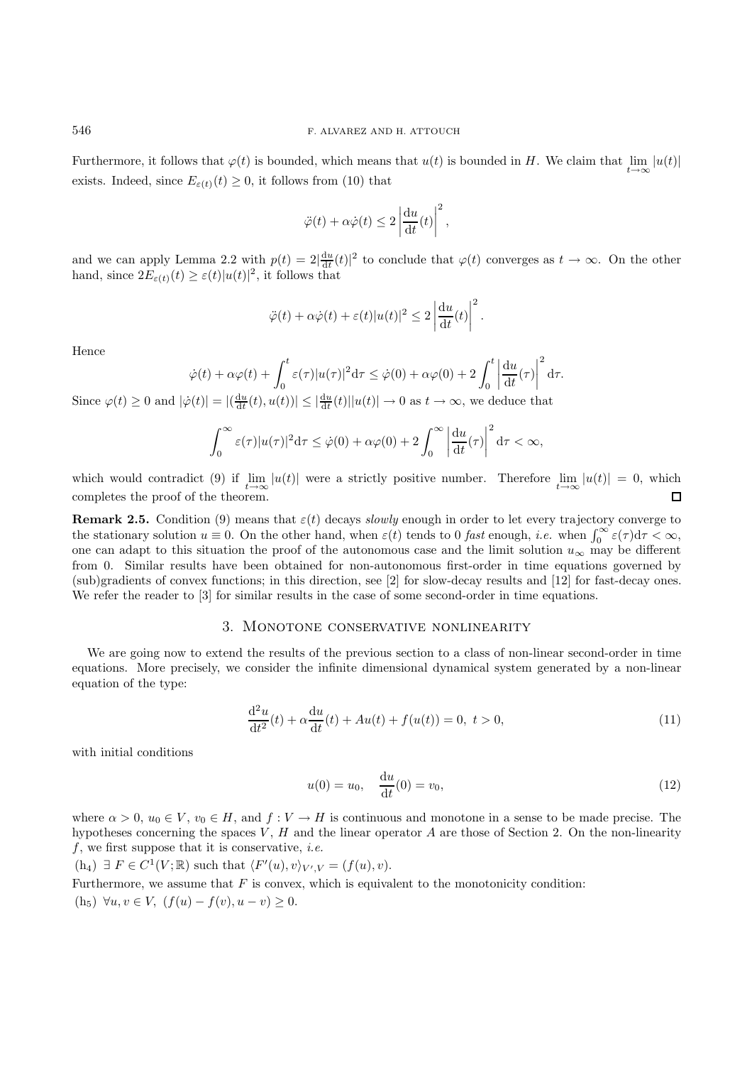Furthermore, it follows that  $\varphi(t)$  is bounded, which means that  $u(t)$  is bounded in H. We claim that  $\lim_{\epsilon \to 0} |u(t)|$ exists. Indeed, since  $E_{\varepsilon(t)}(t) \geq 0$ , it follows from (10) that

$$
\ddot{\varphi}(t) + \alpha \dot{\varphi}(t) \leq 2 \left| \frac{\mathrm{d}u}{\mathrm{d}t}(t) \right|^2,
$$

and we can apply Lemma 2.2 with  $p(t) = 2|\frac{du}{dt}(t)|^2$  to conclude that  $\varphi(t)$  converges as  $t \to \infty$ . On the other hand, since  $2E_{\varepsilon(t)}(t) \geq \varepsilon(t)|u(t)|^2$ , it follows that

$$
\ddot{\varphi}(t) + \alpha \dot{\varphi}(t) + \varepsilon(t) |u(t)|^2 \leq 2 \left| \frac{\mathrm{d}u}{\mathrm{d}t}(t) \right|^2.
$$

Hence

$$
\dot{\varphi}(t) + \alpha \varphi(t) + \int_0^t \varepsilon(\tau) |u(\tau)|^2 d\tau \leq \dot{\varphi}(0) + \alpha \varphi(0) + 2 \int_0^t \left| \frac{du}{dt}(\tau) \right|^2 d\tau.
$$

Since  $\varphi(t) \ge 0$  and  $|\dot{\varphi}(t)| = |(\frac{du}{dt}(t), u(t))| \le |\frac{du}{dt}(t)||u(t)| \to 0$  as  $t \to \infty$ , we deduce that

$$
\int_0^\infty \varepsilon(\tau) |u(\tau)|^2 \mathrm{d}\tau \leq \dot{\varphi}(0) + \alpha \varphi(0) + 2 \int_0^\infty \left| \frac{\mathrm{d}u}{\mathrm{d}t}(\tau) \right|^2 \mathrm{d}\tau < \infty,
$$

which would contradict (9) if  $\lim_{t\to\infty} |u(t)|$  were a strictly positive number. Therefore  $\lim_{t\to\infty} |u(t)| = 0$ , which completes the proof of the theorem.

**Remark 2.5.** Condition (9) means that  $\varepsilon(t)$  decays *slowly* enough in order to let every trajectory converge to the stationary solution  $u \equiv 0$ . On the other hand, when  $\varepsilon(t)$  tends to 0 *fast* enough, *i.e.* when  $\int_0^\infty \varepsilon(\tau) d\tau < \infty$ , one can adapt to this situation the proof of the autonomous case and the limit solution  $u_{\infty}$  may be different from 0. Similar results have been obtained for non-autonomous first-order in time equations governed by (sub)gradients of convex functions; in this direction, see [2] for slow-decay results and [12] for fast-decay ones. We refer the reader to [3] for similar results in the case of some second-order in time equations.

## 3. Monotone conservative nonlinearity

We are going now to extend the results of the previous section to a class of non-linear second-order in time equations. More precisely, we consider the infinite dimensional dynamical system generated by a non-linear equation of the type:

$$
\frac{d^2u}{dt^2}(t) + \alpha \frac{du}{dt}(t) + Au(t) + f(u(t)) = 0, \ t > 0,
$$
\n(11)

with initial conditions

$$
u(0) = u_0, \quad \frac{\mathrm{d}u}{\mathrm{d}t}(0) = v_0,\tag{12}
$$

where  $\alpha > 0$ ,  $u_0 \in V$ ,  $v_0 \in H$ , and  $f: V \to H$  is continuous and monotone in a sense to be made precise. The hypotheses concerning the spaces  $V, H$  and the linear operator A are those of Section 2. On the non-linearity f, we first suppose that it is conservative, *i.e.*

 $(h_4) \exists F \in C^1(V; \mathbb{R})$  such that  $\langle F'(u), v \rangle_{V', V} = (f(u), v).$ Furthermore, we assume that  $F$  is convex, which is equivalent to the monotonicity condition: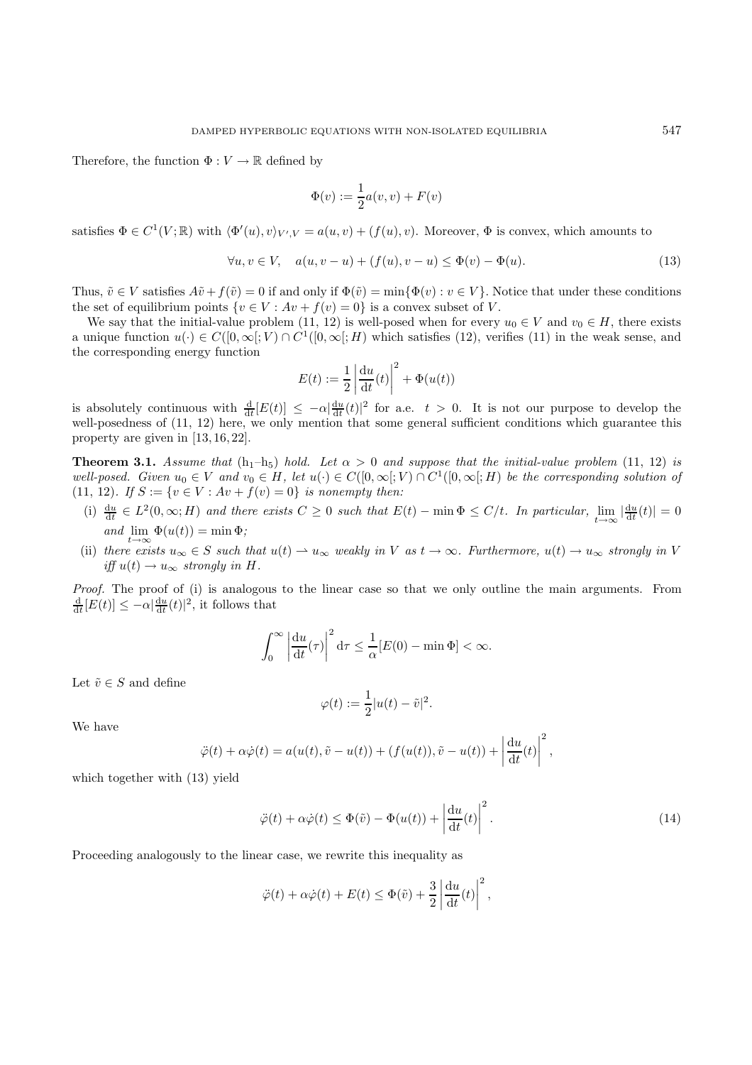Therefore, the function  $\Phi: V \to \mathbb{R}$  defined by

$$
\Phi(v) := \frac{1}{2}a(v,v) + F(v)
$$

satisfies  $\Phi \in C^1(V;\mathbb{R})$  with  $\langle \Phi'(u), v \rangle_{V',V} = a(u, v) + (f(u), v)$ . Moreover,  $\Phi$  is convex, which amounts to

$$
\forall u, v \in V, \quad a(u, v - u) + (f(u), v - u) \le \Phi(v) - \Phi(u). \tag{13}
$$

Thus,  $\tilde{v} \in V$  satisfies  $A\tilde{v} + f(\tilde{v}) = 0$  if and only if  $\Phi(\tilde{v}) = \min{\Phi(v) : v \in V}$ . Notice that under these conditions the set of equilibrium points  $\{v \in V : Av + f(v) = 0\}$  is a convex subset of V.

We say that the initial-value problem (11, 12) is well-posed when for every  $u_0 \in V$  and  $v_0 \in H$ , there exists a unique function  $u(\cdot) \in C([0,\infty];V) \cap C^1([0,\infty];H)$  which satisfies (12), verifies (11) in the weak sense, and the corresponding energy function

$$
E(t) := \frac{1}{2} \left| \frac{\mathrm{d}u}{\mathrm{d}t}(t) \right|^2 + \Phi(u(t))
$$

is absolutely continuous with  $\frac{d}{dt}[E(t)] \leq -\alpha \frac{du}{dt}(t)|^2$  for a.e.  $t > 0$ . It is not our purpose to develop the well-posedness of (11–12) here we only mention that some general sufficient conditions which guarantee this well-posedness of  $(11, 12)$  here, we only mention that some general sufficient conditions which guarantee this property are given in [13, 16, 22].

**Theorem 3.1.** *Assume that*  $(h_1-h_5)$  *hold. Let*  $\alpha > 0$  *and suppose that the initial-value problem* (11, 12) *is well-posed. Given*  $u_0 \in V$  *and*  $v_0 \in H$ , let  $u(\cdot) \in C([0,\infty[;V] \cap C^1([0,\infty[;H])$  *be the corresponding solution of* (11, 12)*.* If  $S := \{v \in V : Av + f(v) = 0\}$  *is nonempty then:* 

- (i)  $\frac{du}{dt} \in L^2(0,\infty;H)$  and there exists  $C \geq 0$  such that  $E(t) \min \Phi \leq C/t$ . In particular,  $\lim_{t \to \infty} |\frac{du}{dt}(t)| = 0$  $and \lim_{t \to \infty} \Phi(u(t)) = \min \Phi;$
- (ii) there exists  $u_{\infty} \in S$  such that  $u(t) \to u_{\infty}$  weakly in V as  $t \to \infty$ . Furthermore,  $u(t) \to u_{\infty}$  strongly in V *iff*  $u(t) \rightarrow u_{\infty}$  *strongly in H.*

*Proof.* The proof of (i) is analogous to the linear case so that we only outline the main arguments. From  $\frac{d}{dt}[E(t)] \leq -\alpha \left| \frac{du}{dt}(t) \right|^2$ , it follows that

$$
\int_0^\infty \left| \frac{\mathrm{d}u}{\mathrm{d}t}(\tau) \right|^2 \mathrm{d}\tau \le \frac{1}{\alpha} [E(0) - \min \Phi] < \infty.
$$

Let  $\tilde{v} \in S$  and define

$$
\varphi(t) := \frac{1}{2}|u(t) - \tilde{v}|^2.
$$

We have

$$
\ddot{\varphi}(t) + \alpha \dot{\varphi}(t) = a(u(t), \tilde{v} - u(t)) + (f(u(t)), \tilde{v} - u(t)) + \left| \frac{\mathrm{d}u}{\mathrm{d}t}(t) \right|^2,
$$

which together with (13) yield

$$
\ddot{\varphi}(t) + \alpha \dot{\varphi}(t) \le \Phi(\tilde{v}) - \Phi(u(t)) + \left| \frac{\mathrm{d}u}{\mathrm{d}t}(t) \right|^2.
$$
\n(14)

Proceeding analogously to the linear case, we rewrite this inequality as

$$
\ddot{\varphi}(t) + \alpha \dot{\varphi}(t) + E(t) \leq \Phi(\tilde{v}) + \frac{3}{2} \left| \frac{\mathrm{d}u}{\mathrm{d}t}(t) \right|^2,
$$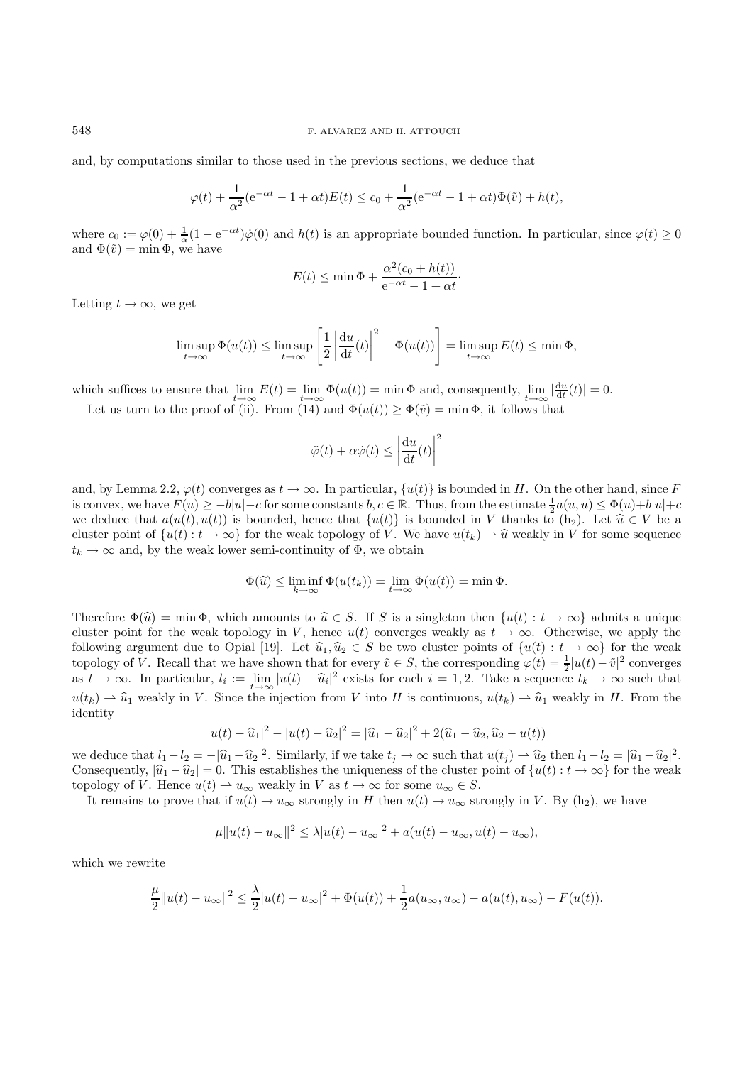#### 548 F. ALVAREZ AND H. ATTOUCH

and, by computations similar to those used in the previous sections, we deduce that

$$
\varphi(t) + \frac{1}{\alpha^2} (e^{-\alpha t} - 1 + \alpha t) E(t) \le c_0 + \frac{1}{\alpha^2} (e^{-\alpha t} - 1 + \alpha t) \Phi(\tilde{v}) + h(t),
$$

where  $c_0 := \varphi(0) + \frac{1}{\alpha}(1 - e^{-\alpha t})\dot{\varphi}(0)$  and  $h(t)$  is an appropriate bounded function. In particular, since  $\varphi(t) \ge 0$ and  $\Phi(\tilde{v}) = \min \Phi$ , we have

$$
E(t) \le \min \Phi + \frac{\alpha^2 (c_0 + h(t))}{e^{-\alpha t} - 1 + \alpha t}.
$$

Letting  $t \to \infty$ , we get

$$
\limsup_{t \to \infty} \Phi(u(t)) \le \limsup_{t \to \infty} \left[ \frac{1}{2} \left| \frac{\mathrm{d}u}{\mathrm{d}t}(t) \right|^2 + \Phi(u(t)) \right] = \limsup_{t \to \infty} E(t) \le \min \Phi,
$$

which suffices to ensure that  $\lim_{t\to\infty} E(t) = \lim_{t\to\infty} \Phi(u(t)) = \min \Phi$  and, consequently,  $\lim_{t\to\infty} |\frac{du}{dt}(t)| = 0$ .

Let us turn to the proof of (ii). From (14) and  $\Phi(u(t)) \geq \Phi(\tilde{v}) = \min \Phi$ , it follows that

$$
\ddot{\varphi}(t) + \alpha \dot{\varphi}(t) \le \left| \frac{\mathrm{d}u}{\mathrm{d}t}(t) \right|^2
$$

and, by Lemma 2.2,  $\varphi(t)$  converges as  $t \to \infty$ . In particular,  $\{u(t)\}\$ is bounded in H. On the other hand, since F is convex, we have  $F(u) \ge -b|u| - c$  for some constants  $b, c \in \mathbb{R}$ . Thus, from the estimate  $\frac{1}{2}a(u, u) \le \Phi(u)+b|u| + c$ <br>we deduce that  $a(u(t), u(t))$  is bounded, hence that  $\{u(t)\}$  is bounded in V thanks to (b). Let  $\hat{u} \in V$ we deduce that  $a(u(t), u(t))$  is bounded, hence that  $\{u(t)\}\$ is bounded in V thanks to  $(h_2)$ . Let  $\hat{u} \in V$  be a cluster point of  $\{u(t): t \to \infty\}$  for the weak topology of V. We have  $u(t_k) \to \hat{u}$  weakly in V for some sequence  $t_k \to \infty$  and, by the weak lower semi-continuity of  $\Phi$ , we obtain

$$
\Phi(\widehat{u}) \le \liminf_{k \to \infty} \Phi(u(t_k)) = \lim_{t \to \infty} \Phi(u(t)) = \min \Phi.
$$

Therefore  $\Phi(\hat{u}) = \min \Phi$ , which amounts to  $\hat{u} \in S$ . If S is a singleton then  $\{u(t) : t \to \infty\}$  admits a unique cluster point for the weak topology in V, hence  $u(t)$  converges weakly as  $t \to \infty$ . Otherwise, we apply the following argument due to Opial [19]. Let  $\hat{u}_1, \hat{u}_2 \in S$  be two cluster points of  $\{u(t) : t \to \infty\}$  for the weak topology of V. Recall that we have shown that for every  $\tilde{v} \in S$ , the corresponding  $\varphi(t) = \frac{1}{2}|u(t) - \tilde{v}|^2$  converges  $t \to \infty$ . In particular  $l_1 := \lim_{x \to l_1} |u(t) - \tilde{u}|^2$  evists for each  $i = 1, 2$ . Take a sequence as  $t \to \infty$ . In particular,  $l_i := \lim_{t \to \infty} |u(t) - \hat{u}_i|^2$  exists for each  $i = 1, 2$ . Take a sequence  $t_k \to \infty$  such that  $u(t_k) \rightharpoonup \hat{u}_1$  weakly in V. Since the injection from V into H is continuous,  $u(t_k) \rightharpoonup \hat{u}_1$  weakly in H. From the identity

$$
|u(t) - \widehat{u}_1|^2 - |u(t) - \widehat{u}_2|^2 = |\widehat{u}_1 - \widehat{u}_2|^2 + 2(\widehat{u}_1 - \widehat{u}_2, \widehat{u}_2 - u(t))
$$

we deduce that  $l_1 - l_2 = -|\hat{u}_1 - \hat{u}_2|^2$ . Similarly, if we take  $t_j \to \infty$  such that  $u(t_j) - \hat{u}_2$  then  $l_1 - l_2 = |\hat{u}_1 - \hat{u}_2|^2$ .<br>Consequently,  $|\hat{u}_j - \hat{u}_2| = 0$ . This establishes the uniqueness of the cluster point of Consequently,  $|\hat{u}_1 - \hat{u}_2| = 0$ . This establishes the uniqueness of the cluster point of  $\{u(t) : t \to \infty\}$  for the weak topology of V. Hence  $u(t) \rightharpoonup u_{\infty}$  weakly in V as  $t \to \infty$  for some  $u_{\infty} \in S$ .

It remains to prove that if  $u(t) \to u_{\infty}$  strongly in H then  $u(t) \to u_{\infty}$  strongly in V. By (h<sub>2</sub>), we have

$$
\mu \|u(t) - u_{\infty}\|^2 \le \lambda |u(t) - u_{\infty}|^2 + a(u(t) - u_{\infty}, u(t) - u_{\infty}),
$$

which we rewrite

$$
\frac{\mu}{2}||u(t) - u_{\infty}||^{2} \leq \frac{\lambda}{2}|u(t) - u_{\infty}|^{2} + \Phi(u(t)) + \frac{1}{2}a(u_{\infty}, u_{\infty}) - a(u(t), u_{\infty}) - F(u(t)).
$$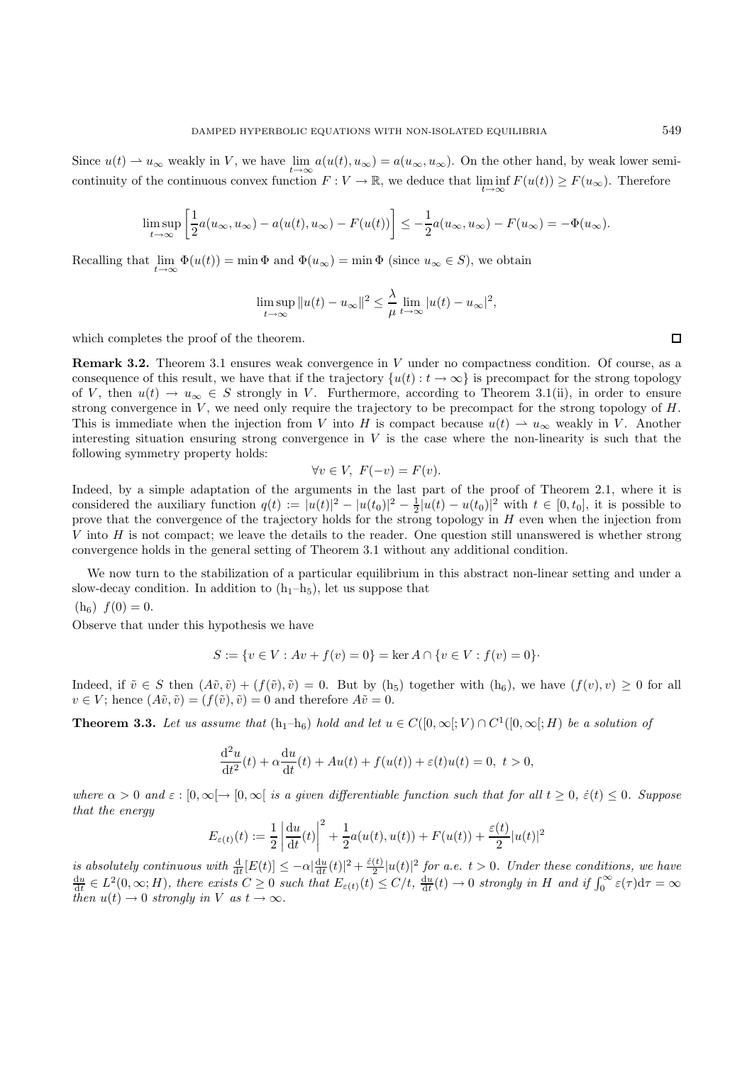Since  $u(t) \to u_{\infty}$  weakly in V, we have  $\lim_{t \to \infty} a(u(t), u_{\infty}) = a(u_{\infty}, u_{\infty})$ . On the other hand, by weak lower semicontinuity of the continuous convex function  $F: V \to \mathbb{R}$ , we deduce that  $\liminf_{t\to\infty} F(u(t)) \geq F(u_{\infty})$ . Therefore

$$
\limsup_{t \to \infty} \left[ \frac{1}{2} a(u_{\infty}, u_{\infty}) - a(u(t), u_{\infty}) - F(u(t)) \right] \le -\frac{1}{2} a(u_{\infty}, u_{\infty}) - F(u_{\infty}) = -\Phi(u_{\infty}).
$$

Recalling that  $\lim_{t\to\infty} \Phi(u(t)) = \min \Phi$  and  $\Phi(u_\infty) = \min \Phi$  (since  $u_\infty \in S$ ), we obtain

$$
\limsup_{t \to \infty} ||u(t) - u_{\infty}||^{2} \le \frac{\lambda}{\mu} \lim_{t \to \infty} |u(t) - u_{\infty}|^{2},
$$

which completes the proof of the theorem.

**Remark 3.2.** Theorem 3.1 ensures weak convergence in V under no compactness condition. Of course, as a consequence of this result, we have that if the trajectory  $\{u(t): t \to \infty\}$  is precompact for the strong topology of V, then  $u(t) \to u_{\infty} \in S$  strongly in V. Furthermore, according to Theorem 3.1(ii), in order to ensure strong convergence in  $V$ , we need only require the trajectory to be precompact for the strong topology of  $H$ . This is immediate when the injection from V into H is compact because  $u(t) \rightharpoonup u_{\infty}$  weakly in V. Another interesting situation ensuring strong convergence in  $V$  is the case where the non-linearity is such that the following symmetry property holds:

$$
\forall v \in V, \ F(-v) = F(v).
$$

 $\forall v \in V, F(-v) = F(v).$ <br>Indeed, by a simple adaptation of the arguments in the last part of the proof of Theorem 2.1, where it is considered the auxiliary function  $q(t) := |u(t)|^2 - |u(t_0)|^2 - \frac{1}{2}u(t) - u(t_0)|^2$  with  $t \in [0, t_0]$ , it is possible to prove that the convergence of the trajectory holds for the strong topology in H even when the injection from prove that the convergence of the trajectory holds for the strong topology in H even when the injection from V into H is not compact; we leave the details to the reader. One question still unanswered is whether strong convergence holds in the general setting of Theorem 3.1 without any additional condition.

We now turn to the stabilization of a particular equilibrium in this abstract non-linear setting and under a slow-decay condition. In addition to  $(h_1-h_5)$ , let us suppose that

 $(h<sub>6</sub>)$   $f(0) = 0.$ 

Observe that under this hypothesis we have

$$
S := \{ v \in V : Av + f(v) = 0 \} = \ker A \cap \{ v \in V : f(v) = 0 \}.
$$

Indeed, if  $\tilde{v} \in S$  then  $(A\tilde{v}, \tilde{v}) + (f(\tilde{v}), \tilde{v}) = 0$ . But by  $(h_5)$  together with  $(h_6)$ , we have  $(f(v), v) \ge 0$  for all  $v \in V$ ; hence  $(A\tilde{v}, \tilde{v}) = (f(\tilde{v}), \tilde{v}) = 0$  and therefore  $A\tilde{v} = 0$ .

**Theorem 3.3.** *Let us assume that*  $(h_1-h_6)$  *hold and let*  $u \in C([0,\infty[;V) \cap C^1([0,\infty[;H])$  *be a solution of* 

$$
\frac{d^2u}{dt^2}(t) + \alpha \frac{du}{dt}(t) + Au(t) + f(u(t)) + \varepsilon(t)u(t) = 0, \ t > 0,
$$

*where*  $\alpha > 0$  *and*  $\varepsilon : [0, \infty) \to [0, \infty)$  *is a given differentiable function such that for all*  $t \geq 0$ ,  $\varepsilon(t) < 0$ *. Suppose that the energy*

$$
E_{\varepsilon(t)}(t) := \frac{1}{2} \left| \frac{\mathrm{d}u}{\mathrm{d}t}(t) \right|^2 + \frac{1}{2} a(u(t), u(t)) + F(u(t)) + \frac{\varepsilon(t)}{2} |u(t)|^2
$$

is absolutely continuous with  $\frac{d}{dt}[E(t)] \le -\alpha \frac{du}{dt}(t)|^2 + \frac{\dot{\varepsilon}(t)}{2}|u(t)|^2$  for a.e.  $t > 0$ . Under these conditions, we have  $\frac{du}{dt} \in L^2(0, \infty; H)$ , there exists  $C \ge 0$  such that  $E_{\varepsilon(t)}(t) \le C/t$ ,  $\frac{du}{dt}(t) \to 0$  st *then*  $u(t) \to 0$  *strongly in*  $V$  *as*  $t \to \infty$ *.* 

 $\Box$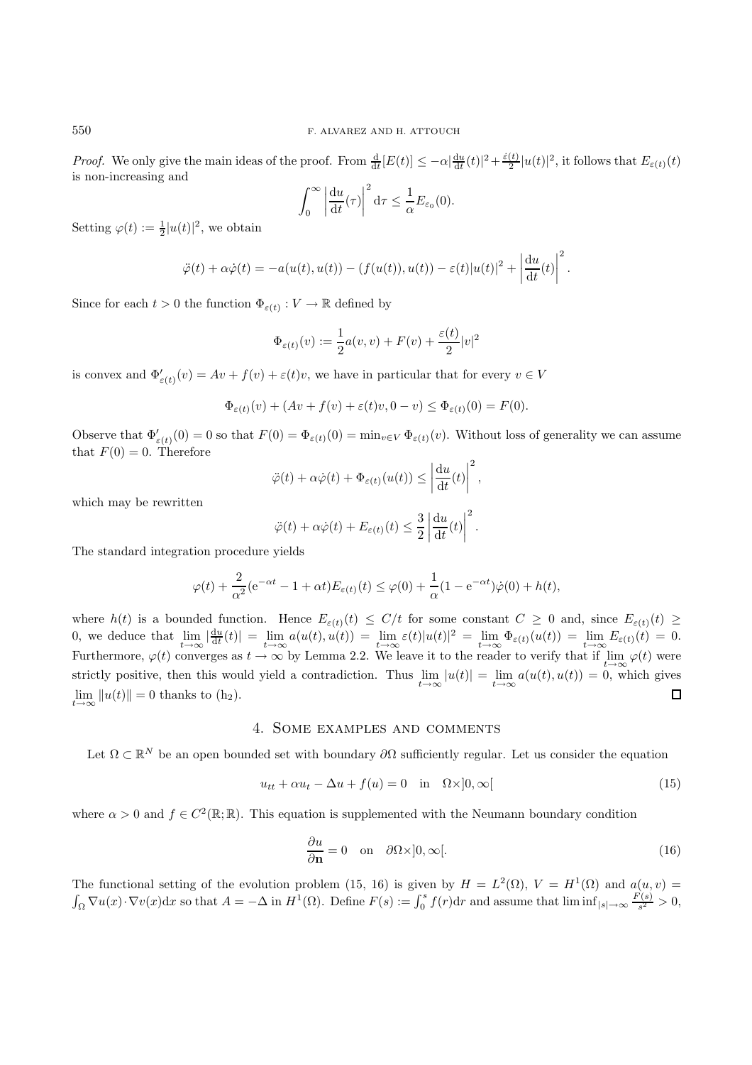*Proof.* We only give the main ideas of the proof. From  $\frac{d}{dt}[E(t)] \le -\alpha \frac{du}{dt}(t)|^2 + \frac{\dot{\varepsilon}(t)}{2}|u(t)|^2$ , it follows that  $E_{\varepsilon(t)}(t)$  is non-increasing and is non-increasing and

$$
\int_0^\infty \left| \frac{\mathrm{d}u}{\mathrm{d}t}(\tau) \right|^2 \mathrm{d}\tau \le \frac{1}{\alpha} E_{\varepsilon_0}(0).
$$

Setting  $\varphi(t) := \frac{1}{2} |u(t)|^2$ , we obtain

$$
\ddot{\varphi}(t) + \alpha \dot{\varphi}(t) = -a(u(t), u(t)) - (f(u(t)), u(t)) - \varepsilon(t)|u(t)|^2 + \left|\frac{\mathrm{d}u}{\mathrm{d}t}(t)\right|^2.
$$

Since for each  $t > 0$  the function  $\Phi_{\varepsilon(t)} : V \to \mathbb{R}$  defined by

$$
\Phi_{\varepsilon(t)}(v) := \frac{1}{2}a(v,v) + F(v) + \frac{\varepsilon(t)}{2}|v|^2
$$

is convex and  $\Phi'_{\varepsilon(t)}(v) = Av + f(v) + \varepsilon(t)v$ , we have in particular that for every  $v \in V$ 

$$
\Phi_{\varepsilon(t)}(v) + (Av + f(v) + \varepsilon(t)v, 0 - v) \le \Phi_{\varepsilon(t)}(0) = F(0).
$$

Observe that  $\Phi'_{\varepsilon(t)}(0) = 0$  so that  $F(0) = \Phi_{\varepsilon(t)}(0) = \min_{v \in V} \Phi_{\varepsilon(t)}(v)$ . Without loss of generality we can assume that  $F(0) = 0$ . Therefore

$$
\ddot{\varphi}(t) + \alpha \dot{\varphi}(t) + \Phi_{\varepsilon(t)}(u(t)) \le \left| \frac{\mathrm{d}u}{\mathrm{d}t}(t) \right|^2,
$$

which may be rewritten

$$
\ddot{\varphi}(t) + \alpha \dot{\varphi}(t) + E_{\varepsilon(t)}(t) \le \frac{3}{2} \left| \frac{\mathrm{d}u}{\mathrm{d}t}(t) \right|^2.
$$

The standard integration procedure yields

$$
\varphi(t) + \frac{2}{\alpha^2} (e^{-\alpha t} - 1 + \alpha t) E_{\varepsilon(t)}(t) \le \varphi(0) + \frac{1}{\alpha} (1 - e^{-\alpha t}) \dot{\varphi}(0) + h(t),
$$

where  $h(t)$  is a bounded function. Hence  $E_{\varepsilon(t)}(t) \leq C/t$  for some constant  $C \geq 0$  and, since  $E_{\varepsilon(t)}(t) \geq 0$  are deduce that  $\lim_{t \to \infty} \frac{d(u(t))}{dt} = \lim_{t \to \infty} \frac{c(u(t)) - c(u(t))}{c(u(t))} = \lim_{t \to \infty} \frac{d(u(t))}{dt} = \lim_{t \to \infty} E(t) = 0$ 0, we deduce that  $\lim_{t\to\infty} |\frac{du}{dt}(t)| = \lim_{t\to\infty} a(u(t), u(t)) = \lim_{t\to\infty} \varepsilon(t) |u(t)|^2 = \lim_{t\to\infty} \Phi_{\varepsilon(t)}(u(t)) = \lim_{t\to\infty} E_{\varepsilon(t)}(t) = 0.$ Furthermore,  $\varphi(t)$  converges as  $t \to \infty$  by Lemma 2.2. We leave it to the reader to verify that if  $\lim_{t\to\infty} \varphi(t)$  were strictly positive, then this would yield a contradiction. Thus  $\lim_{t\to\infty} |u(t)| = \lim_{t\to\infty} a(u(t), u(t)) = 0$ , which gives  $\lim ||u(t)|| = 0$  thanks to  $(h_2)$ .  $\lim_{t\to\infty}||u(t)|| = 0$  thanks to (h<sub>2</sub>).

## 4. Some examples and comments

Let  $\Omega \subset \mathbb{R}^N$  be an open bounded set with boundary  $\partial \Omega$  sufficiently regular. Let us consider the equation

$$
u_{tt} + \alpha u_t - \Delta u + f(u) = 0 \quad \text{in} \quad \Omega \times ]0, \infty[ \tag{15}
$$

where  $\alpha > 0$  and  $f \in C^2(\mathbb{R}; \mathbb{R})$ . This equation is supplemented with the Neumann boundary condition

$$
\frac{\partial u}{\partial \mathbf{n}} = 0 \quad \text{on} \quad \partial \Omega \times ]0, \infty[.
$$
 (16)

The functional setting of the evolution problem (15, 16) is given by  $H = L^2(\Omega)$ ,  $V = H^1(\Omega)$  and  $a(u, v) =$  $\int_{\Omega} \nabla u(x) \cdot \nabla v(x) dx$  so that  $A = -\Delta$  in  $H^1(\Omega)$ . Define  $F(s) := \int_0^s f(r) dr$  and assume that  $\liminf_{|s| \to \infty} \frac{F(s)}{s^2} > 0$ ,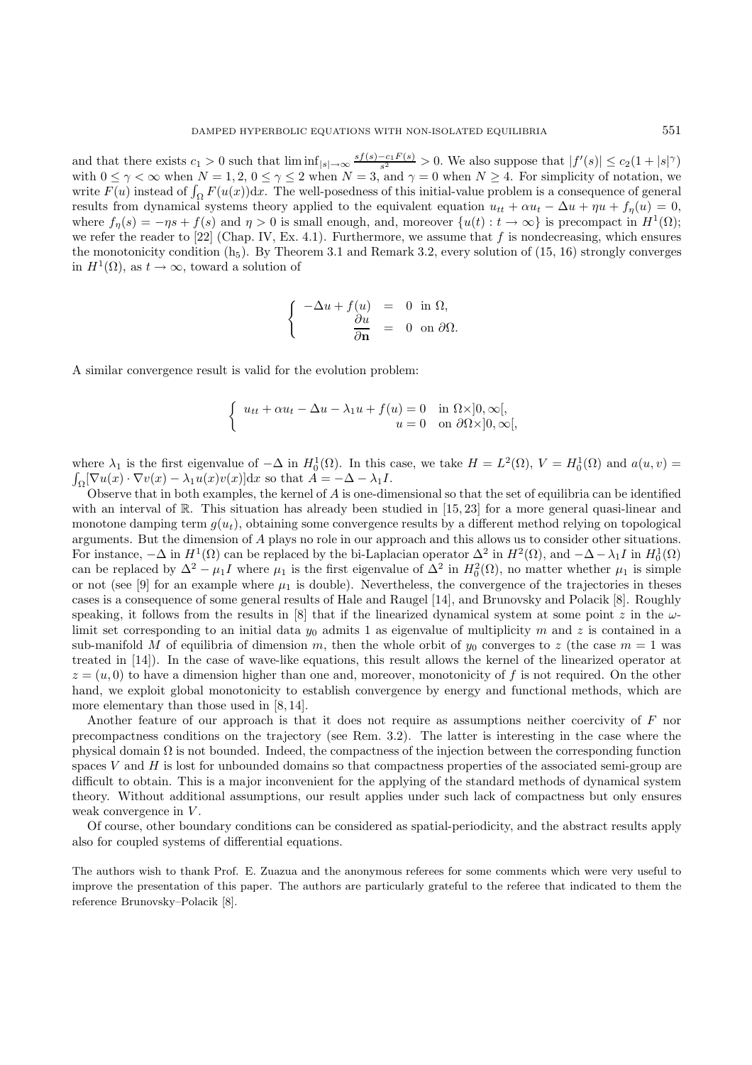and that there exists  $c_1 > 0$  such that  $\liminf_{|s| \to \infty} \frac{sf(s)-c_1F(s)}{s^2} > 0$ . We also suppose that  $|f'(s)| \le c_2(1+|s|^\gamma)$ <br>with  $0 \le \gamma \le \infty$  when  $N-1, 2, 0 \le \gamma \le 2$  when  $N-3$  and  $\gamma = 0$  when  $N > 4$ . For simplicity of not with  $0 \leq \gamma < \infty$  when  $N = 1, 2, 0 \leq \gamma \leq 2$  when  $N = 3$ , and  $\gamma = 0$  when  $N \geq 4$ . For simplicity of notation, we<br>write  $F(u)$  instead of  $\int_{\gamma} F(u(x))dx$ . The well-posedness of this initial-value problem is a consequence write  $F(u)$  instead of  $\int_{\Omega} F(u(x))dx$ . The well-posedness of this initial-value problem is a consequence of general<br>results from dynamical systems theory applied to the equivalent equation  $u_u + \alpha u - \Delta u + \mu u + f(u) = 0$ results from dynamical systems theory applied to the equivalent equation  $u_{tt} + \alpha u_t - \Delta u + \eta u + f_\eta(u) = 0$ , where  $f_n(s) = -\eta s + f(s)$  and  $\eta > 0$  is small enough, and, moreover  $\{u(t): t \to \infty\}$  is precompact in  $H^1(\Omega)$ ; we refer the reader to [22] (Chap. IV, Ex. 4.1). Furthermore, we assume that f is nondecreasing, which ensures the monotonicity condition  $(h_5)$ . By Theorem 3.1 and Remark 3.2, every solution of (15, 16) strongly converges in  $H^1(\Omega)$ , as  $t \to \infty$ , toward a solution of

$$
\begin{cases}\n-\Delta u + f(u) &= 0 \text{ in } \Omega, \\
\frac{\partial u}{\partial \mathbf{n}} &= 0 \text{ on } \partial \Omega.\n\end{cases}
$$

A similar convergence result is valid for the evolution problem:

$$
\begin{cases} u_{tt} + \alpha u_t - \Delta u - \lambda_1 u + f(u) = 0 & \text{in } \Omega \times ]0, \infty[, \\ u = 0 & \text{on } \partial \Omega \times ]0, \infty[, \end{cases}
$$

where  $\lambda_1$  is the first eigenvalue of  $-\Delta$  in  $H_0^1(\Omega)$ . In this case, we take  $H = L^2(\Omega)$ ,  $V = H_0^1(\Omega)$  and  $a(u, v) = \int \nabla u(x) \cdot \nabla v(x) = \lambda_1 u(x)v(x)dx$  so that  $A = -\Delta - \lambda_1 I$  $\int_{\Omega} [\nabla u(x) \cdot \nabla v(x) - \lambda_1 u(x)v(x)]dx$  so that  $\tilde{A} = -\Delta - \lambda_1 I$ .<br>Observe that in both examples the kernel of 4 is one-din

Observe that in both examples, the kernel of  $A$  is one-dimensional so that the set of equilibria can be identified with an interval of R. This situation has already been studied in [15, 23] for a more general quasi-linear and monotone damping term  $g(u_t)$ , obtaining some convergence results by a different method relying on topological arguments. But the dimension of A plays no role in our approach and this allows us to consider other situations. For instance,  $-\Delta$  in  $H^1(\Omega)$  can be replaced by the bi-Laplacian operator  $\Delta^2$  in  $H^2(\Omega)$ , and  $-\Delta - \lambda_1 I$  in  $H_0^1(\Omega)$ <br>can be replaced by  $\Delta^2 - \mu_1 I$  where  $\mu_2$  is the first eigenvalue of  $\Delta^2$  in  $H^2(\Omega)$ , no m can be replaced by  $\Delta^2 - \mu_1 I$  where  $\mu_1$  is the first eigenvalue of  $\Delta^2$  in  $H_0^2(\Omega)$ , no matter whether  $\mu_1$  is simple or not (see [9] for an example where  $\mu_1$  is double). Nevertheless, the convergence of the trajectories in theses cases is a consequence of some general results of Hale and Raugel [14], and Brunovsky and Polacik [8]. Roughly speaking, it follows from the results in [8] that if the linearized dynamical system at some point z in the  $\omega$ limit set corresponding to an initial data  $y_0$  admits 1 as eigenvalue of multiplicity m and z is contained in a sub-manifold M of equilibria of dimension m, then the whole orbit of  $y_0$  converges to z (the case  $m = 1$  was treated in [14]). In the case of wave-like equations, this result allows the kernel of the linearized operator at  $z = (u, 0)$  to have a dimension higher than one and, moreover, monotonicity of f is not required. On the other hand, we exploit global monotonicity to establish convergence by energy and functional methods, which are more elementary than those used in  $[8, 14]$ .

Another feature of our approach is that it does not require as assumptions neither coercivity of F nor precompactness conditions on the trajectory (see Rem. 3.2). The latter is interesting in the case where the physical domain  $\Omega$  is not bounded. Indeed, the compactness of the injection between the corresponding function spaces  $V$  and  $H$  is lost for unbounded domains so that compactness properties of the associated semi-group are difficult to obtain. This is a major inconvenient for the applying of the standard methods of dynamical system theory. Without additional assumptions, our result applies under such lack of compactness but only ensures weak convergence in  $V$ .

Of course, other boundary conditions can be considered as spatial-periodicity, and the abstract results apply also for coupled systems of differential equations.

The authors wish to thank Prof. E. Zuazua and the anonymous referees for some comments which were very useful to improve the presentation of this paper. The authors are particularly grateful to the referee that indicated to them the reference Brunovsky–Polacik [8].